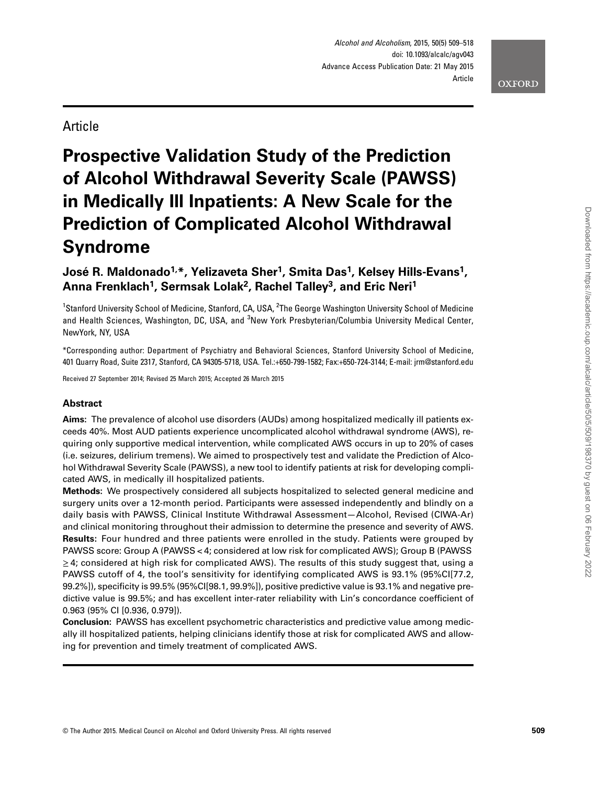cated AWS, in medically ill hospitalized patients. Methods: We prospectively considered all subjects hospitalized to selected general medicine and surgery units over a 12-month period. Participants were assessed independently and blindly on a daily basis with PAWSS, Clinical Institute Withdrawal Assessment—Alcohol, Revised (CIWA-Ar) and clinical monitoring throughout their admission to determine the presence and severity of AWS. Results: Four hundred and three patients were enrolled in the study. Patients were grouped by PAWSS score: Group A (PAWSS < 4; considered at low risk for complicated AWS); Group B (PAWSS ≥ 4; considered at high risk for complicated AWS). The results of this study suggest that, using a PAWSS cutoff of 4, the tool's sensitivity for identifying complicated AWS is 93.1% (95%CI[77.2,

99.2%]), specificity is 99.5% (95%CI[98.1, 99.9%]), positive predictive value is 93.1% and negative predictive value is 99.5%; and has excellent inter-rater reliability with Lin's concordance coefficient of

Conclusion: PAWSS has excellent psychometric characteristics and predictive value among medically ill hospitalized patients, helping clinicians identify those at risk for complicated AWS and allow-

and Health Sciences, Washington, DC, USA, and <sup>3</sup>New York Presbyterian/Columbia University Medical Center, NewYork, NY, USA

José R. Maldonado<sup>1,\*</sup>, Yelizaveta Sher<sup>1</sup>, Smita Das<sup>1</sup>, Kelsey Hills-Evans<sup>1</sup>,

Anna Frenklach<sup>1</sup>, Sermsak Lolak<sup>2</sup>, Rachel Talley<sup>3</sup>, and Eric Neri<sup>1</sup>

Prospective Validation Study of the Prediction

of Alcohol Withdrawal Severity Scale (PAWSS)

in Medically Ill Inpatients: A New Scale for the

Prediction of Complicated Alcohol Withdrawal

<sup>1</sup>Stanford University School of Medicine, Stanford, CA, USA, <sup>2</sup>The George Washington University School of Medicine

\*Corresponding author: Department of Psychiatry and Behavioral Sciences, Stanford University School of Medicine, 401 Quarry Road, Suite 2317, Stanford, CA 94305-5718, USA. Tel.:+650-799-1582; Fax:+650-724-3144; E-mail: jrm@stanford.edu

Received 27 September 2014; Revised 25 March 2015; Accepted 26 March 2015

## Abstract

0.963 (95% CI [0.936, 0.979]).

Article

Syndrome

Aims: The prevalence of alcohol use disorders (AUDs) among hospitalized medically ill patients exceeds 40%. Most AUD patients experience uncomplicated alcohol withdrawal syndrome (AWS), requiring only supportive medical intervention, while complicated AWS occurs in up to 20% of cases (i.e. seizures, delirium tremens). We aimed to prospectively test and validate the Prediction of Alcohol Withdrawal Severity Scale (PAWSS), a new tool to identify patients at risk for developing compli**OXFORD** 

### © The Author 2015. Medical Council on Alcohol and Oxford University Press. All rights reserved 509

ing for prevention and timely treatment of complicated AWS.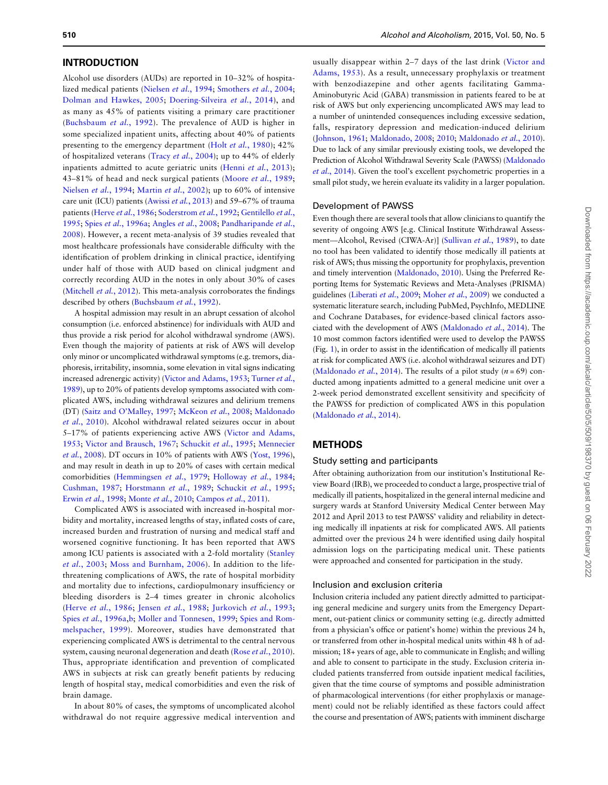### INTRODUCTION

Alcohol use disorders (AUDs) are reported in 10–32% of hospitalized medical patients ([Nielsen](#page-9-0) et al., 1994; [Smothers](#page-9-0) et al., 2004; [Dolman and Hawkes, 2005](#page-8-0); [Doering-Silveira](#page-8-0) et al., 2014), and as many as 45% of patients visiting a primary care practitioner ([Buchsbaum](#page-8-0) et al., 1992). The prevalence of AUD is higher in some specialized inpatient units, affecting about 40% of patients presenting to the emergency department (Holt et al.[, 1980](#page-8-0)); 42% of hospitalized veterans (Tracy et al.[, 2004\)](#page-9-0); up to 44% of elderly inpatients admitted to acute geriatric units (Henni et al.[, 2013](#page-8-0)); 43-81% of head and neck surgical patients [\(Moore](#page-9-0) et al., 1989; [Nielsen](#page-9-0) et al., 1994; [Martin](#page-9-0) et al., 2002); up to 60% of intensive care unit (ICU) patients (Awissi et al.[, 2013\)](#page-8-0) and 59–67% of trauma patients (Herve et al.[, 1986;](#page-8-0) [Soderstrom](#page-9-0) et al., 1992; [Gentilello](#page-8-0) et al., [1995](#page-8-0); Spies et al.[, 1996a](#page-9-0); Angles et al.[, 2008;](#page-8-0) [Pandharipande](#page-9-0) et al., [2008](#page-9-0)). However, a recent meta-analysis of 39 studies revealed that most healthcare professionals have considerable difficulty with the identification of problem drinking in clinical practice, identifying under half of those with AUD based on clinical judgment and correctly recording AUD in the notes in only about 30% of cases ([Mitchell](#page-9-0) et al., 2012). This meta-analysis corroborates the findings described by others [\(Buchsbaum](#page-8-0) et al., 1992).

A hospital admission may result in an abrupt cessation of alcohol consumption (i.e. enforced abstinence) for individuals with AUD and thus provide a risk period for alcohol withdrawal syndrome (AWS). Even though the majority of patients at risk of AWS will develop only minor or uncomplicated withdrawal symptoms (e.g. tremors, diaphoresis, irritability, insomnia, some elevation in vital signs indicating increased adrenergic activity) ([Victor and Adams, 1953](#page-9-0); [Turner](#page-9-0) et al., [1989\)](#page-9-0), up to 20% of patients develop symptoms associated with complicated AWS, including withdrawal seizures and delirium tremens (DT) (Saitz and O'[Malley, 1997;](#page-9-0) [McKeon](#page-9-0) et al., 2008; [Maldonado](#page-9-0) et al.[, 2010\)](#page-9-0). Alcohol withdrawal related seizures occur in about 5–17% of patients experiencing active AWS ([Victor and Adams,](#page-9-0) [1953](#page-9-0); [Victor and Brausch, 1967](#page-9-0); [Schuckit](#page-9-0) et al., 1995; [Mennecier](#page-9-0) et al.[, 2008](#page-9-0)). DT occurs in 10% of patients with AWS ([Yost, 1996](#page-9-0)), and may result in death in up to 20% of cases with certain medical comorbidities [\(Hemmingsen](#page-8-0) et al., 1979; [Holloway](#page-8-0) et al., 1984; [Cushman, 1987;](#page-8-0) [Horstmann](#page-8-0) et al., 1989; [Schuckit](#page-9-0) et al., 1995; Erwin et al.[, 1998;](#page-8-0) [Monte](#page-9-0) et al., 2010; [Campos](#page-8-0) et al., 2011).

Complicated AWS is associated with increased in-hospital morbidity and mortality, increased lengths of stay, inflated costs of care, increased burden and frustration of nursing and medical staff and worsened cognitive functioning. It has been reported that AWS among ICU patients is associated with a 2-fold mortality ([Stanley](#page-9-0) et al.[, 2003;](#page-9-0) [Moss and Burnham, 2006\)](#page-9-0). In addition to the lifethreatening complications of AWS, the rate of hospital morbidity and mortality due to infections, cardiopulmonary insufficiency or bleeding disorders is 2–4 times greater in chronic alcoholics (Herve et al.[, 1986;](#page-8-0) Jensen et al.[, 1988](#page-8-0); [Jurkovich](#page-8-0) et al., 1993; Spies et al.[, 1996a,b](#page-9-0); [Moller and Tonnesen, 1999](#page-9-0); [Spies and Rom](#page-9-0)[melspacher, 1999\)](#page-9-0). Moreover, studies have demonstrated that experiencing complicated AWS is detrimental to the central nervous system, causing neuronal degeneration and death (Rose *et al.*[, 2010](#page-9-0)). Thus, appropriate identification and prevention of complicated AWS in subjects at risk can greatly benefit patients by reducing length of hospital stay, medical comorbidities and even the risk of brain damage.

In about 80% of cases, the symptoms of uncomplicated alcohol withdrawal do not require aggressive medical intervention and

usually disappear within 2–7 days of the last drink ([Victor and](#page-9-0) [Adams, 1953](#page-9-0)). As a result, unnecessary prophylaxis or treatment with benzodiazepine and other agents facilitating Gamma-Aminobutyric Acid (GABA) transmission in patients feared to be at risk of AWS but only experiencing uncomplicated AWS may lead to a number of unintended consequences including excessive sedation, falls, respiratory depression and medication-induced delirium ([Johnson, 1961](#page-8-0); [Maldonado, 2008](#page-9-0); [2010;](#page-9-0) [Maldonado](#page-9-0) et al., 2010). Due to lack of any similar previously existing tools, we developed the Prediction of Alcohol Withdrawal Severity Scale (PAWSS) ([Maldonado](#page-9-0) et al.[, 2014\)](#page-9-0). Given the tool's excellent psychometric properties in a small pilot study, we herein evaluate its validity in a larger population.

#### Development of PAWSS

Even though there are several tools that allow clinicians to quantify the severity of ongoing AWS [e.g. Clinical Institute Withdrawal Assess-ment—Alcohol, Revised (CIWA-Ar)] ([Sullivan](#page-9-0) et al., 1989), to date no tool has been validated to identify those medically ill patients at risk of AWS; thus missing the opportunity for prophylaxis, prevention and timely intervention ([Maldonado, 2010](#page-9-0)). Using the Preferred Reporting Items for Systematic Reviews and Meta-Analyses (PRISMA) guidelines ([Liberati](#page-9-0) et al., 2009; [Moher](#page-9-0) et al., 2009) we conducted a systematic literature search, including PubMed, PsychInfo, MEDLINE and Cochrane Databases, for evidence-based clinical factors associated with the development of AWS [\(Maldonado](#page-9-0) et al., 2014). The 10 most common factors identified were used to develop the PAWSS (Fig. [1\)](#page-2-0), in order to assist in the identification of medically ill patients at risk for complicated AWS (i.e. alcohol withdrawal seizures and DT) ([Maldonado](#page-9-0) *et al.*, 2014). The results of a pilot study  $(n = 69)$  conducted among inpatients admitted to a general medicine unit over a 2-week period demonstrated excellent sensitivity and specificity of the PAWSS for prediction of complicated AWS in this population ([Maldonado](#page-9-0) et al., 2014).

### METHODS

#### Study setting and participants

After obtaining authorization from our institution's Institutional Review Board (IRB), we proceeded to conduct a large, prospective trial of medically ill patients, hospitalized in the general internal medicine and surgery wards at Stanford University Medical Center between May 2012 and April 2013 to test PAWSS' validity and reliability in detecting medically ill inpatients at risk for complicated AWS. All patients admitted over the previous 24 h were identified using daily hospital admission logs on the participating medical unit. These patients were approached and consented for participation in the study.

#### Inclusion and exclusion criteria

Inclusion criteria included any patient directly admitted to participating general medicine and surgery units from the Emergency Department, out-patient clinics or community setting (e.g. directly admitted from a physician's office or patient's home) within the previous 24 h, or transferred from other in-hospital medical units within 48 h of admission; 18+ years of age, able to communicate in English; and willing and able to consent to participate in the study. Exclusion criteria included patients transferred from outside inpatient medical facilities, given that the time course of symptoms and possible administration of pharmacological interventions (for either prophylaxis or management) could not be reliably identified as these factors could affect the course and presentation of AWS; patients with imminent discharge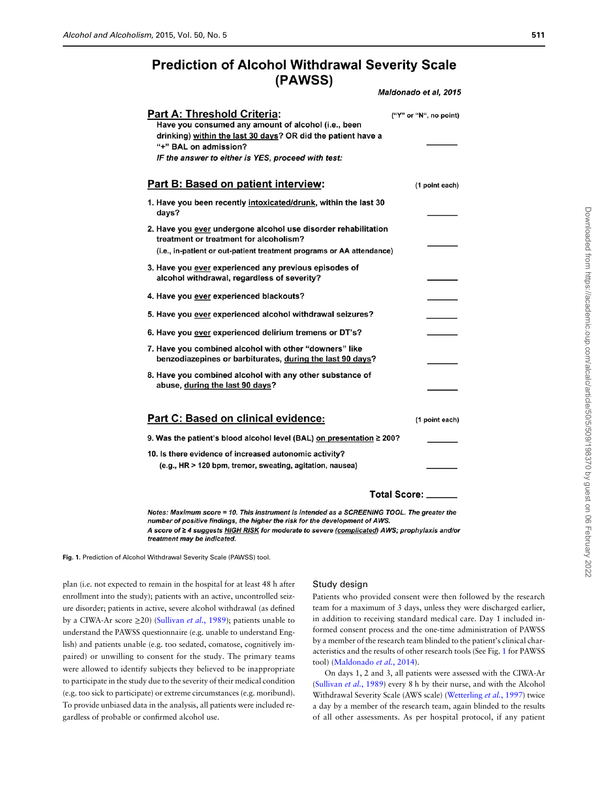# <span id="page-2-0"></span>**Prediction of Alcohol Withdrawal Severity Scale** (PAWSS) Maldonado et al. 2015

| Part A: Threshold Criteria:<br>Have you consumed any amount of alcohol (i.e., been<br>drinking) within the last 30 days? OR did the patient have a<br>"+" BAL on admission?<br>IF the answer to either is YES, proceed with test: | ("Y" or "N", no point) |
|-----------------------------------------------------------------------------------------------------------------------------------------------------------------------------------------------------------------------------------|------------------------|
| Part B: Based on patient interview:                                                                                                                                                                                               | (1 point each)         |
| 1. Have you been recently intoxicated/drunk, within the last 30<br>days?                                                                                                                                                          |                        |
| 2. Have you ever undergone alcohol use disorder rehabilitation<br>treatment or treatment for alcoholism?<br>(i.e., in-patient or out-patient treatment programs or AA attendance)                                                 |                        |
| 3. Have you ever experienced any previous episodes of<br>alcohol withdrawal, regardless of severity?                                                                                                                              |                        |
| 4. Have you ever experienced blackouts?                                                                                                                                                                                           |                        |
| 5. Have you ever experienced alcohol withdrawal seizures?                                                                                                                                                                         |                        |
| 6. Have you ever experienced delirium tremens or DT's?                                                                                                                                                                            |                        |
| 7. Have you combined alcohol with other "downers" like<br>benzodiazepines or barbiturates, during the last 90 days?                                                                                                               |                        |
| 8. Have you combined alcohol with any other substance of<br>abuse, during the last 90 days?                                                                                                                                       |                        |
| Part C: Based on clinical evidence:                                                                                                                                                                                               | (1 point each)         |
| 9. Was the patient's blood alcohol level (BAL) on presentation ≥ 200?                                                                                                                                                             |                        |
| 10. Is there evidence of increased autonomic activity?<br>(e.g., HR > 120 bpm, tremor, sweating, agitation, nausea)                                                                                                               |                        |
|                                                                                                                                                                                                                                   | Total Score: ___       |
| Notes: Maximum score = 10. This instrument is intended as a SCREENING TOOL. The greater the                                                                                                                                       |                        |

number of positive findings, the higher the risk for the development of AWS. A score of ≥ 4 suggests HIGH RISK for moderate to severe (complicated) AWS; prophylaxis and/or treatment may be indicated.

Fig. 1. Prediction of Alcohol Withdrawal Severity Scale (PAWSS) tool.

plan (i.e. not expected to remain in the hospital for at least 48 h after enrollment into the study); patients with an active, uncontrolled seizure disorder; patients in active, severe alcohol withdrawal (as defined by a CIWA-Ar score  $\geq$ 20) [\(Sullivan](#page-9-0) *et al.*, 1989); patients unable to understand the PAWSS questionnaire (e.g. unable to understand English) and patients unable (e.g. too sedated, comatose, cognitively impaired) or unwilling to consent for the study. The primary teams were allowed to identify subjects they believed to be inappropriate to participate in the study due to the severity of their medical condition (e.g. too sick to participate) or extreme circumstances (e.g. moribund). To provide unbiased data in the analysis, all patients were included regardless of probable or confirmed alcohol use.

#### Study design

Patients who provided consent were then followed by the research team for a maximum of 3 days, unless they were discharged earlier, in addition to receiving standard medical care. Day 1 included informed consent process and the one-time administration of PAWSS by a member of the research team blinded to the patient's clinical characteristics and the results of other research tools (See Fig. 1 for PAWSS tool) ([Maldonado](#page-9-0) et al., 2014).

On days 1, 2 and 3, all patients were assessed with the CIWA-Ar ([Sullivan](#page-9-0) et al., 1989) every 8 h by their nurse, and with the Alcohol Withdrawal Severity Scale (AWS scale) ([Wetterling](#page-9-0) et al., 1997) twice a day by a member of the research team, again blinded to the results of all other assessments. As per hospital protocol, if any patient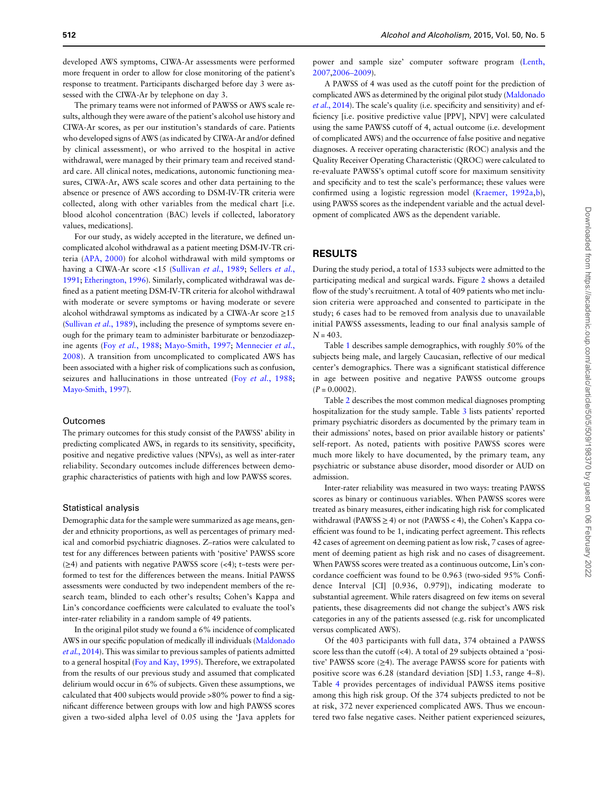developed AWS symptoms, CIWA-Ar assessments were performed more frequent in order to allow for close monitoring of the patient's response to treatment. Participants discharged before day 3 were assessed with the CIWA-Ar by telephone on day 3.

The primary teams were not informed of PAWSS or AWS scale results, although they were aware of the patient's alcohol use history and CIWA-Ar scores, as per our institution's standards of care. Patients who developed signs of AWS (as indicated by CIWA-Ar and/or defined by clinical assessment), or who arrived to the hospital in active withdrawal, were managed by their primary team and received standard care. All clinical notes, medications, autonomic functioning measures, CIWA-Ar, AWS scale scores and other data pertaining to the absence or presence of AWS according to DSM-IV-TR criteria were collected, along with other variables from the medical chart [i.e. blood alcohol concentration (BAC) levels if collected, laboratory values, medications].

For our study, as widely accepted in the literature, we defined uncomplicated alcohol withdrawal as a patient meeting DSM-IV-TR criteria ([APA, 2000\)](#page-8-0) for alcohol withdrawal with mild symptoms or having a CIWA-Ar score <15 ([Sullivan](#page-9-0) et al., 1989; [Sellers](#page-9-0) et al., [1991;](#page-9-0) [Etherington, 1996](#page-8-0)). Similarly, complicated withdrawal was defined as a patient meeting DSM-IV-TR criteria for alcohol withdrawal with moderate or severe symptoms or having moderate or severe alcohol withdrawal symptoms as indicated by a CIWA-Ar score  $\geq$ 15 ([Sullivan](#page-9-0) et al., 1989), including the presence of symptoms severe enough for the primary team to administer barbiturate or benzodiazepine agents (Foy et al.[, 1988;](#page-8-0) [Mayo-Smith, 1997](#page-9-0); [Mennecier](#page-9-0) et al., [2008](#page-9-0)). A transition from uncomplicated to complicated AWS has been associated with a higher risk of complications such as confusion, seizures and hallucinations in those untreated (Foy et al.[, 1988;](#page-8-0) [Mayo-Smith, 1997\)](#page-9-0).

#### **Outcomes**

The primary outcomes for this study consist of the PAWSS' ability in predicting complicated AWS, in regards to its sensitivity, specificity, positive and negative predictive values (NPVs), as well as inter-rater reliability. Secondary outcomes include differences between demographic characteristics of patients with high and low PAWSS scores.

#### Statistical analysis

Demographic data for the sample were summarized as age means, gender and ethnicity proportions, as well as percentages of primary medical and comorbid psychiatric diagnoses. Z–ratios were calculated to test for any differences between patients with 'positive' PAWSS score (≥4) and patients with negative PAWSS score (<4); t–tests were performed to test for the differences between the means. Initial PAWSS assessments were conducted by two independent members of the research team, blinded to each other's results; Cohen's Kappa and Lin's concordance coefficients were calculated to evaluate the tool's inter-rater reliability in a random sample of 49 patients.

In the original pilot study we found a 6% incidence of complicated AWS in our specific population of medically ill individuals ([Maldonado](#page-9-0) et al.[, 2014\)](#page-9-0). This was similar to previous samples of patients admitted to a general hospital ([Foy and Kay, 1995\)](#page-8-0). Therefore, we extrapolated from the results of our previous study and assumed that complicated delirium would occur in 6% of subjects. Given these assumptions, we calculated that 400 subjects would provide >80% power to find a significant difference between groups with low and high PAWSS scores given a two-sided alpha level of 0.05 using the 'Java applets for

power and sample size' computer software program ([Lenth,](#page-9-0) [2007,2006](#page-9-0)–2009).

A PAWSS of 4 was used as the cutoff point for the prediction of complicated AWS as determined by the original pilot study [\(Maldonado](#page-9-0) et al.[, 2014](#page-9-0)). The scale's quality (i.e. specificity and sensitivity) and efficiency [i.e. positive predictive value [PPV], NPV] were calculated using the same PAWSS cutoff of 4, actual outcome (i.e. development of complicated AWS) and the occurrence of false positive and negative diagnoses. A receiver operating characteristic (ROC) analysis and the Quality Receiver Operating Characteristic (QROC) were calculated to re-evaluate PAWSS's optimal cutoff score for maximum sensitivity and specificity and to test the scale's performance; these values were confirmed using a logistic regression model [\(Kraemer, 1992a](#page-9-0),[b](#page-9-0)), using PAWSS scores as the independent variable and the actual development of complicated AWS as the dependent variable.

# RESULTS

During the study period, a total of 1533 subjects were admitted to the participating medical and surgical wards. Figure [2](#page-4-0) shows a detailed flow of the study's recruitment. A total of 409 patients who met inclusion criteria were approached and consented to participate in the study; 6 cases had to be removed from analysis due to unavailable initial PAWSS assessments, leading to our final analysis sample of  $N = 403$ .

Table [1](#page-4-0) describes sample demographics, with roughly 50% of the subjects being male, and largely Caucasian, reflective of our medical center's demographics. There was a significant statistical difference in age between positive and negative PAWSS outcome groups  $(P = 0.0002)$ .

Table [2](#page-5-0) describes the most common medical diagnoses prompting hospitalization for the study sample. Table [3](#page-5-0) lists patients' reported primary psychiatric disorders as documented by the primary team in their admissions' notes, based on prior available history or patients' self-report. As noted, patients with positive PAWSS scores were much more likely to have documented, by the primary team, any psychiatric or substance abuse disorder, mood disorder or AUD on admission.

Inter-rater reliability was measured in two ways: treating PAWSS scores as binary or continuous variables. When PAWSS scores were treated as binary measures, either indicating high risk for complicated withdrawal (PAWSS  $\geq$  4) or not (PAWSS < 4), the Cohen's Kappa coefficient was found to be 1, indicating perfect agreement. This reflects 42 cases of agreement on deeming patient as low risk, 7 cases of agreement of deeming patient as high risk and no cases of disagreement. When PAWSS scores were treated as a continuous outcome, Lin's concordance coefficient was found to be 0.963 (two-sided 95% Confidence Interval [CI] [0.936, 0.979]), indicating moderate to substantial agreement. While raters disagreed on few items on several patients, these disagreements did not change the subject's AWS risk categories in any of the patients assessed (e.g. risk for uncomplicated versus complicated AWS).

Of the 403 participants with full data, 374 obtained a PAWSS score less than the cutoff (<4). A total of 29 subjects obtained a 'positive' PAWSS score (≥4). The average PAWSS score for patients with positive score was 6.28 (standard deviation [SD] 1.53, range 4–8). Table [4](#page-5-0) provides percentages of individual PAWSS items positive among this high risk group. Of the 374 subjects predicted to not be at risk, 372 never experienced complicated AWS. Thus we encountered two false negative cases. Neither patient experienced seizures,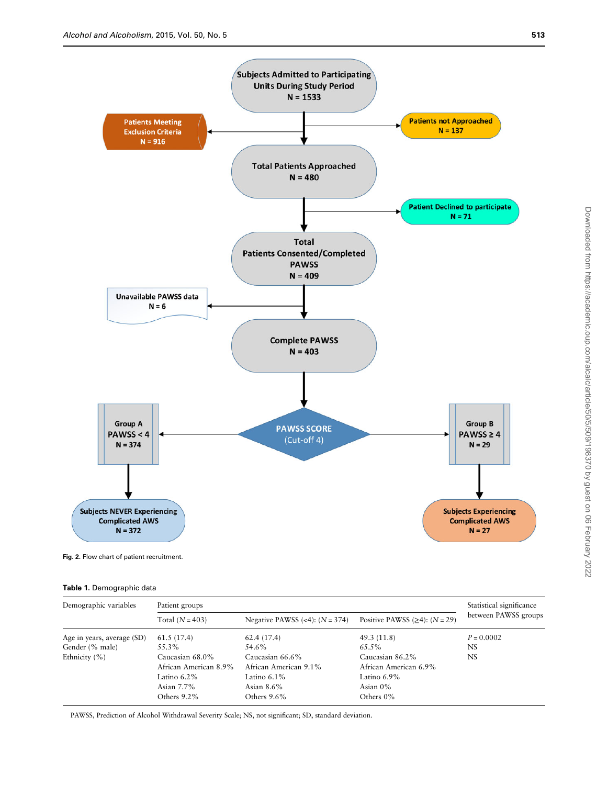<span id="page-4-0"></span>

#### Table 1. Demographic data

| Demographic variables      | Patient groups        | Statistical significance            |                                        |                      |
|----------------------------|-----------------------|-------------------------------------|----------------------------------------|----------------------|
|                            | Total $(N = 403)$     | Negative PAWSS $(<4)$ : $(N = 374)$ | Positive PAWSS $(\geq 4)$ : $(N = 29)$ | between PAWSS groups |
| Age in years, average (SD) | 61.5(17.4)            | 62.4(17.4)                          | 49.3 (11.8)                            | $P = 0.0002$         |
| Gender (% male)            | 55.3%                 | 54.6%                               | 65.5%                                  | NS                   |
| Ethnicity $(\% )$          | Caucasian 68.0%       | Caucasian 66.6%                     | Caucasian 86.2%                        | <b>NS</b>            |
|                            | African American 8.9% | African American 9.1%               | African American 6.9%                  |                      |
|                            | Latino 6.2%           | Latino $6.1\%$                      | Latino 6.9%                            |                      |
|                            | Asian $7.7\%$         | Asian 8.6%                          | Asian 0%                               |                      |
|                            | Others 9.2%           | Others 9.6%                         | Others 0%                              |                      |

PAWSS, Prediction of Alcohol Withdrawal Severity Scale; NS, not significant; SD, standard deviation.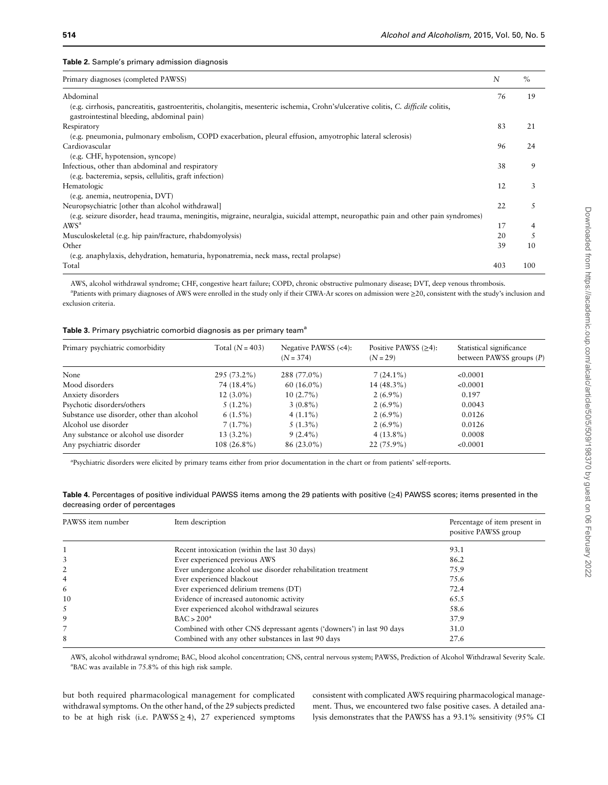#### <span id="page-5-0"></span>Table 2. Sample's primary admission diagnosis

| Primary diagnoses (completed PAWSS)                                                                                                                                               | N   | $\%$ |
|-----------------------------------------------------------------------------------------------------------------------------------------------------------------------------------|-----|------|
| Abdominal                                                                                                                                                                         | 76  | 19   |
| (e.g. cirrhosis, pancreatitis, gastroenteritis, cholangitis, mesenteric ischemia, Crohn's/ulcerative colitis, C. difficile colitis,<br>gastrointestinal bleeding, abdominal pain) |     |      |
| Respiratory                                                                                                                                                                       | 83  | 21   |
| (e.g. pneumonia, pulmonary embolism, COPD exacerbation, pleural effusion, amyotrophic lateral sclerosis)                                                                          |     |      |
| Cardiovascular                                                                                                                                                                    | 96  | 24   |
| (e.g. CHF, hypotension, syncope)                                                                                                                                                  |     |      |
| Infectious, other than abdominal and respiratory                                                                                                                                  | 38  | 9    |
| (e.g. bacteremia, sepsis, cellulitis, graft infection)                                                                                                                            |     |      |
| Hematologic                                                                                                                                                                       | 12  | 3    |
| (e.g. anemia, neutropenia, DVT)                                                                                                                                                   |     |      |
| Neuropsychiatric [other than alcohol withdrawal]                                                                                                                                  | 22  | 5    |
| (e.g. seizure disorder, head trauma, meningitis, migraine, neuralgia, suicidal attempt, neuropathic pain and other pain syndromes)                                                |     |      |
| AWS <sup>a</sup>                                                                                                                                                                  | 17  | 4    |
| Musculoskeletal (e.g. hip pain/fracture, rhabdomyolysis)                                                                                                                          | 20  | 5    |
| Other                                                                                                                                                                             | 39  | 10   |
| (e.g. anaphylaxis, dehydration, hematuria, hyponatremia, neck mass, rectal prolapse)                                                                                              |     |      |
| Total                                                                                                                                                                             | 403 | 100  |

AWS, alcohol withdrawal syndrome; CHF, congestive heart failure; COPD, chronic obstructive pulmonary disease; DVT, deep venous thrombosis. a Patients with primary diagnoses of AWS were enrolled in the study only if their CIWA-Ar scores on admission were ≥20, consistent with the study's inclusion and exclusion criteria.

### Table 3. Primary psychiatric comorbid diagnosis as per primary team<sup>a</sup>

| Primary psychiatric comorbidity            | Total $(N = 403)$ | Negative PAWSS $(<4)$ :<br>$(N = 374)$ | Positive PAWSS $(≥4)$ :<br>$(N = 29)$ | Statistical significance<br>between PAWSS groups (P) |
|--------------------------------------------|-------------------|----------------------------------------|---------------------------------------|------------------------------------------------------|
| None                                       | 295 (73.2%)       | 288 (77.0%)                            | $7(24.1\%)$                           | < 0.0001                                             |
| Mood disorders                             | 74 (18.4%)        | $60(16.0\%)$                           | 14 (48.3%)                            | < 0.0001                                             |
| Anxiety disorders                          | $12(3.0\%)$       | $10(2.7\%)$                            | $2(6.9\%)$                            | 0.197                                                |
| Psychotic disorders/others                 | $5(1.2\%)$        | $3(0.8\%)$                             | $2(6.9\%)$                            | 0.0043                                               |
| Substance use disorder, other than alcohol | $6(1.5\%)$        | $4(1.1\%)$                             | $2(6.9\%)$                            | 0.0126                                               |
| Alcohol use disorder                       | $7(1.7\%)$        | $5(1.3\%)$                             | $2(6.9\%)$                            | 0.0126                                               |
| Any substance or alcohol use disorder      | $13(3.2\%)$       | $9(2.4\%)$                             | $4(13.8\%)$                           | 0.0008                                               |
| Any psychiatric disorder                   | $108(26.8\%)$     | 86 (23.0%)                             | $22(75.9\%)$                          | < 0.0001                                             |

a Psychiatric disorders were elicited by primary teams either from prior documentation in the chart or from patients' self-reports.

|                                 |  |  | Table 4. Percentages of positive individual PAWSS items among the 29 patients with positive $(24)$ PAWSS scores; items presented in the |  |
|---------------------------------|--|--|-----------------------------------------------------------------------------------------------------------------------------------------|--|
| decreasing order of percentages |  |  |                                                                                                                                         |  |

| PAWSS item number | Item description                                                      | Percentage of item present in<br>positive PAWSS group |  |
|-------------------|-----------------------------------------------------------------------|-------------------------------------------------------|--|
|                   | Recent intoxication (within the last 30 days)                         | 93.1                                                  |  |
| 3                 | Ever experienced previous AWS                                         | 86.2                                                  |  |
| 2                 | Ever undergone alcohol use disorder rehabilitation treatment          | 75.9                                                  |  |
| $\overline{4}$    | Ever experienced blackout                                             | 75.6                                                  |  |
| 6                 | Ever experienced delirium tremens (DT)                                | 72.4                                                  |  |
| 10                | Evidence of increased autonomic activity                              | 65.5                                                  |  |
| 5                 | Ever experienced alcohol withdrawal seizures                          | 58.6                                                  |  |
| 9                 | BAC > 200 <sup>a</sup>                                                | 37.9                                                  |  |
|                   | Combined with other CNS depressant agents ('downers') in last 90 days | 31.0                                                  |  |
| 8                 | Combined with any other substances in last 90 days                    | 27.6                                                  |  |

AWS, alcohol withdrawal syndrome; BAC, blood alcohol concentration; CNS, central nervous system; PAWSS, Prediction of Alcohol Withdrawal Severity Scale. a BAC was available in 75.8% of this high risk sample.

but both required pharmacological management for complicated withdrawal symptoms. On the other hand, of the 29 subjects predicted to be at high risk (i.e. PAWSS  $\geq$  4), 27 experienced symptoms consistent with complicated AWS requiring pharmacological management. Thus, we encountered two false positive cases. A detailed analysis demonstrates that the PAWSS has a 93.1% sensitivity (95% CI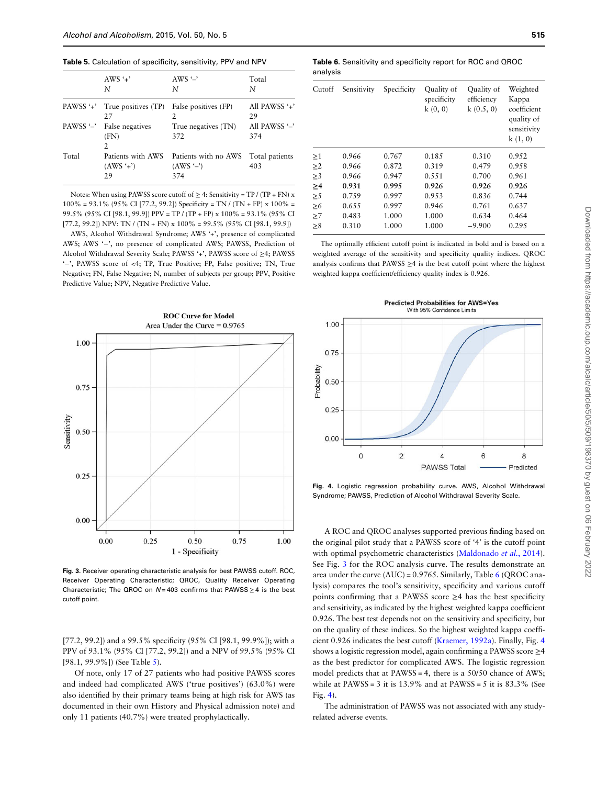Table 5. Calculation of specificity, sensitivity, PPV and NPV

|       | AWS $+$ '                                           | AWS $-$                                   | Total                 |
|-------|-----------------------------------------------------|-------------------------------------------|-----------------------|
|       | N                                                   | N                                         | N                     |
|       | PAWSS '+' True positives (TP)                       | False positives (FP)                      | All PAWSS $\cdot$ +'  |
|       | 27                                                  | $\mathcal{P}$                             | 29                    |
|       | PAWSS '-' False negatives<br>(FN)<br>$\mathfrak{D}$ | True negatives (TN)<br>372                | All PAWSS $-$<br>374  |
| Total | Patients with AWS<br>(AWS'')<br>29                  | Patients with no AWS<br>$(AWS - )$<br>374 | Total patients<br>403 |

Notes: When using PAWSS score cutoff of  $> 4$ : Sensitivity = TP / (TP + FN) x 100% = 93.1% (95% CI [77.2, 99.2]) Specificity = TN / (TN + FP) x 100% = 99.5% (95% CI [98.1, 99.9]) PPV = TP / (TP + FP) x 100% = 93.1% (95% CI [77.2, 99.2]) NPV: TN / (TN + FN) x 100% = 99.5% (95% CI [98.1, 99.9])

AWS, Alcohol Withdrawal Syndrome; AWS '+', presence of complicated AWS; AWS '−', no presence of complicated AWS; PAWSS, Prediction of Alcohol Withdrawal Severity Scale; PAWSS '+', PAWSS score of ≥4; PAWSS '−', PAWSS score of <4; TP, True Positive; FP, False positive; TN, True Negative; FN, False Negative; N, number of subjects per group; PPV, Positive Predictive Value; NPV, Negative Predictive Value.



Fig. 3. Receiver operating characteristic analysis for best PAWSS cutoff. ROC, Receiver Operating Characteristic; QROC, Quality Receiver Operating Characteristic; The QROC on  $N = 403$  confirms that PAWSS  $\geq 4$  is the best cutoff point.

[77.2, 99.2]) and a 99.5% specificity (95% CI [98.1, 99.9%]); with a PPV of 93.1% (95% CI [77.2, 99.2]) and a NPV of 99.5% (95% CI [98.1, 99.9%]) (See Table 5).

Of note, only 17 of 27 patients who had positive PAWSS scores and indeed had complicated AWS ('true positives') (63.0%) were also identified by their primary teams being at high risk for AWS (as documented in their own History and Physical admission note) and only 11 patients (40.7%) were treated prophylactically.

Table 6. Sensitivity and specificity report for ROC and QROC analysis

| Cutoff   | Sensitivity | Specificity | Quality of<br>specificity<br>k(0, 0) | Quality of<br>efficiency<br>k(0.5, 0) | Weighted<br>Kappa<br>coefficient<br>quality of<br>sensitivity<br>k(1, 0) |
|----------|-------------|-------------|--------------------------------------|---------------------------------------|--------------------------------------------------------------------------|
| $\geq$ 1 | 0.966       | 0.767       | 0.185                                | 0.310                                 | 0.952                                                                    |
| $\geq$ 2 | 0.966       | 0.872       | 0.319                                | 0.479                                 | 0.958                                                                    |
| $\geq$ 3 | 0.966       | 0.947       | 0.551                                | 0.700                                 | 0.961                                                                    |
| $\geq 4$ | 0.931       | 0.995       | 0.926                                | 0.926                                 | 0.926                                                                    |
| $\geq$ 5 | 0.759       | 0.997       | 0.953                                | 0.836                                 | 0.744                                                                    |
| $\geq 6$ | 0.655       | 0.997       | 0.946                                | 0.761                                 | 0.637                                                                    |
| $\geq$ 7 | 0.483       | 1.000       | 1.000                                | 0.634                                 | 0.464                                                                    |
| $\geq 8$ | 0.310       | 1.000       | 1.000                                | $-9.900$                              | 0.295                                                                    |

The optimally efficient cutoff point is indicated in bold and is based on a weighted average of the sensitivity and specificity quality indices. QROC analysis confirms that PAWSS ≥4 is the best cutoff point where the highest weighted kappa coefficient/efficiency quality index is 0.926.



Fig. 4. Logistic regression probability curve. AWS, Alcohol Withdrawal Syndrome; PAWSS, Prediction of Alcohol Withdrawal Severity Scale.

A ROC and QROC analyses supported previous finding based on the original pilot study that a PAWSS score of '4' is the cutoff point with optimal psychometric characteristics [\(Maldonado](#page-9-0) et al., 2014). See Fig. 3 for the ROC analysis curve. The results demonstrate an area under the curve (AUC) = 0.9765. Similarly, Table 6 (QROC analysis) compares the tool's sensitivity, specificity and various cutoff points confirming that a PAWSS score  $\geq$ 4 has the best specificity and sensitivity, as indicated by the highest weighted kappa coefficient 0.926. The best test depends not on the sensitivity and specificity, but on the quality of these indices. So the highest weighted kappa coefficient 0.926 indicates the best cutoff [\(Kraemer, 1992a](#page-9-0)). Finally, Fig. 4 shows a logistic regression model, again confirming a PAWSS score  $\geq$ 4 as the best predictor for complicated AWS. The logistic regression model predicts that at PAWSS = 4, there is a 50/50 chance of AWS; while at PAWSS = 3 it is  $13.9\%$  and at PAWSS = 5 it is  $83.3\%$  (See Fig. 4).

The administration of PAWSS was not associated with any studyrelated adverse events.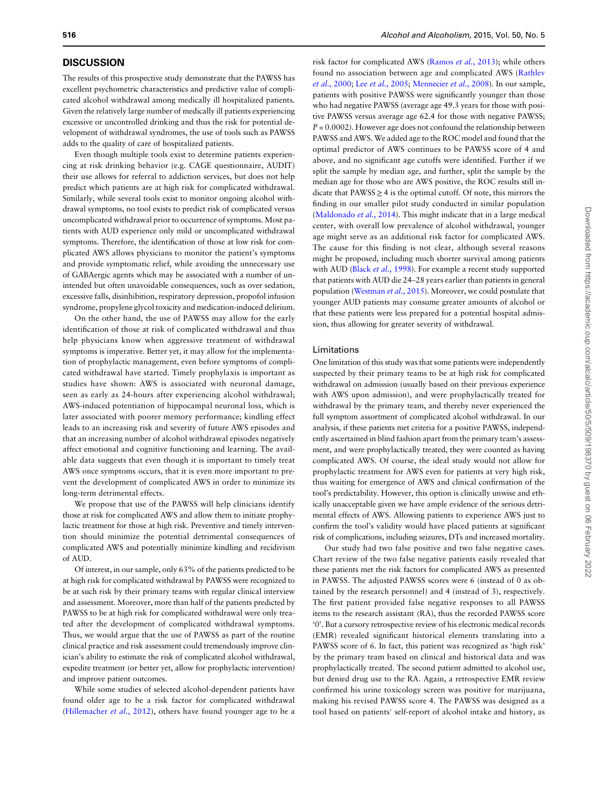### **DISCUSSION**

The results of this prospective study demonstrate that the PAWSS has excellent psychometric characteristics and predictive value of complicated alcohol withdrawal among medically ill hospitalized patients. Given the relatively large number of medically ill patients experiencing excessive or uncontrolled drinking and thus the risk for potential development of withdrawal syndromes, the use of tools such as PAWSS adds to the quality of care of hospitalized patients.

Even though multiple tools exist to determine patients experiencing at risk drinking behavior (e.g. CAGE questionnaire, AUDIT) their use allows for referral to addiction services, but does not help predict which patients are at high risk for complicated withdrawal. Similarly, while several tools exist to monitor ongoing alcohol withdrawal symptoms, no tool exists to predict risk of complicated versus uncomplicated withdrawal prior to occurrence of symptoms. Most patients with AUD experience only mild or uncomplicated withdrawal symptoms. Therefore, the identification of those at low risk for complicated AWS allows physicians to monitor the patient's symptoms and provide symptomatic relief, while avoiding the unnecessary use of GABAergic agents which may be associated with a number of unintended but often unavoidable consequences, such as over sedation, excessive falls, disinhibition, respiratory depression, propofol infusion syndrome, propylene glycol toxicity and medication-induced delirium.

On the other hand, the use of PAWSS may allow for the early identification of those at risk of complicated withdrawal and thus help physicians know when aggressive treatment of withdrawal symptoms is imperative. Better yet, it may allow for the implementation of prophylactic management, even before symptoms of complicated withdrawal have started. Timely prophylaxis is important as studies have shown: AWS is associated with neuronal damage, seen as early as 24-hours after experiencing alcohol withdrawal; AWS-induced potentiation of hippocampal neuronal loss, which is later associated with poorer memory performance; kindling effect leads to an increasing risk and severity of future AWS episodes and that an increasing number of alcohol withdrawal episodes negatively affect emotional and cognitive functioning and learning. The available data suggests that even though it is important to timely treat AWS once symptoms occurs, that it is even more important to prevent the development of complicated AWS in order to minimize its long-term detrimental effects.

We propose that use of the PAWSS will help clinicians identify those at risk for complicated AWS and allow them to initiate prophylactic treatment for those at high risk. Preventive and timely intervention should minimize the potential detrimental consequences of complicated AWS and potentially minimize kindling and recidivism of AUD.

Of interest, in our sample, only 63% of the patients predicted to be at high risk for complicated withdrawal by PAWSS were recognized to be at such risk by their primary teams with regular clinical interview and assessment. Moreover, more than half of the patients predicted by PAWSS to be at high risk for complicated withdrawal were only treated after the development of complicated withdrawal symptoms. Thus, we would argue that the use of PAWSS as part of the routine clinical practice and risk assessment could tremendously improve clinician's ability to estimate the risk of complicated alcohol withdrawal, expedite treatment (or better yet, allow for prophylactic intervention) and improve patient outcomes.

While some studies of selected alcohol-dependent patients have found older age to be a risk factor for complicated withdrawal ([Hillemacher](#page-8-0) et al., 2012), others have found younger age to be a

risk factor for complicated AWS ([Ramos](#page-9-0) et al., 2013); while others found no association between age and complicated AWS [\(Rathlev](#page-9-0) et al.[, 2000;](#page-9-0) Lee et al.[, 2005](#page-9-0); [Mennecier](#page-9-0) et al., 2008). In our sample, patients with positive PAWSS were significantly younger than those who had negative PAWSS (average age 49.3 years for those with positive PAWSS versus average age 62.4 for those with negative PAWSS;  $P = 0.0002$ ). However age does not confound the relationship between PAWSS and AWS. We added age to the ROC model and found that the optimal predictor of AWS continues to be PAWSS score of 4 and above, and no significant age cutoffs were identified. Further if we split the sample by median age, and further, split the sample by the median age for those who are AWS positive, the ROC results still indicate that  $PAWSS \ge 4$  is the optimal cutoff. Of note, this mirrors the finding in our smaller pilot study conducted in similar population ([Maldonado](#page-9-0) et al., 2014). This might indicate that in a large medical center, with overall low prevalence of alcohol withdrawal, younger age might serve as an additional risk factor for complicated AWS. The cause for this finding is not clear, although several reasons might be proposed, including much shorter survival among patients with AUD (Black et al.[, 1998](#page-8-0)). For example a recent study supported that patients with AUD die 24–28 years earlier than patients in general population ([Westman](#page-9-0) et al., 2015). Moreover, we could postulate that younger AUD patients may consume greater amounts of alcohol or that these patients were less prepared for a potential hospital admission, thus allowing for greater severity of withdrawal.

#### Limitations

One limitation of this study was that some patients were independently suspected by their primary teams to be at high risk for complicated withdrawal on admission (usually based on their previous experience with AWS upon admission), and were prophylactically treated for withdrawal by the primary team, and thereby never experienced the full symptom assortment of complicated alcohol withdrawal. In our analysis, if these patients met criteria for a positive PAWSS, independently ascertained in blind fashion apart from the primary team's assessment, and were prophylactically treated, they were counted as having complicated AWS. Of course, the ideal study would not allow for prophylactic treatment for AWS even for patients at very high risk, thus waiting for emergence of AWS and clinical confirmation of the tool's predictability. However, this option is clinically unwise and ethically unacceptable given we have ample evidence of the serious detrimental effects of AWS. Allowing patients to experience AWS just to confirm the tool's validity would have placed patients at significant risk of complications, including seizures, DTs and increased mortality.

Our study had two false positive and two false negative cases. Chart review of the two false negative patients easily revealed that these patients met the risk factors for complicated AWS as presented in PAWSS. The adjusted PAWSS scores were 6 (instead of 0 as obtained by the research personnel) and 4 (instead of 3), respectively. The first patient provided false negative responses to all PAWSS items to the research assistant (RA), thus the recorded PAWSS score '0'. But a cursory retrospective review of his electronic medical records (EMR) revealed significant historical elements translating into a PAWSS score of 6. In fact, this patient was recognized as 'high risk' by the primary team based on clinical and historical data and was prophylactically treated. The second patient admitted to alcohol use, but denied drug use to the RA. Again, a retrospective EMR review confirmed his urine toxicology screen was positive for marijuana, making his revised PAWSS score 4. The PAWSS was designed as a tool based on patients′ self-report of alcohol intake and history, as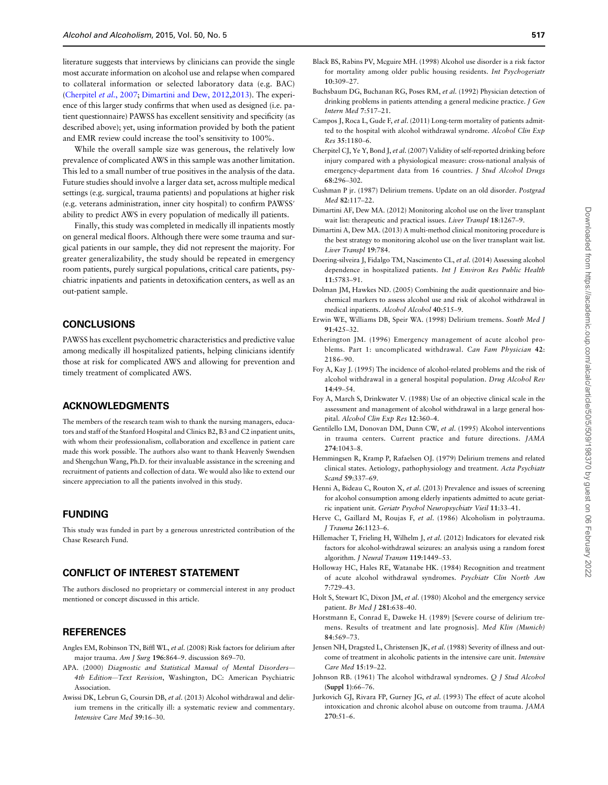<span id="page-8-0"></span>literature suggests that interviews by clinicians can provide the single most accurate information on alcohol use and relapse when compared to collateral information or selected laboratory data (e.g. BAC) (Cherpitel et al., 2007; Dimartini and Dew, 2012,2013). The experience of this larger study confirms that when used as designed (i.e. patient questionnaire) PAWSS has excellent sensitivity and specificity (as described above); yet, using information provided by both the patient and EMR review could increase the tool's sensitivity to 100%.

While the overall sample size was generous, the relatively low prevalence of complicated AWS in this sample was another limitation. This led to a small number of true positives in the analysis of the data. Future studies should involve a larger data set, across multiple medical settings (e.g. surgical, trauma patients) and populations at higher risk (e.g. veterans administration, inner city hospital) to confirm PAWSS′ ability to predict AWS in every population of medically ill patients.

Finally, this study was completed in medically ill inpatients mostly on general medical floors. Although there were some trauma and surgical patients in our sample, they did not represent the majority. For greater generalizability, the study should be repeated in emergency room patients, purely surgical populations, critical care patients, psychiatric inpatients and patients in detoxification centers, as well as an out-patient sample.

# **CONCLUSIONS**

PAWSS has excellent psychometric characteristics and predictive value among medically ill hospitalized patients, helping clinicians identify those at risk for complicated AWS and allowing for prevention and timely treatment of complicated AWS.

# ACKNOWLEDGMENTS

The members of the research team wish to thank the nursing managers, educators and staff of the Stanford Hospital and Clinics B2, B3 and C2 inpatient units, with whom their professionalism, collaboration and excellence in patient care made this work possible. The authors also want to thank Heavenly Swendsen and Shengchun Wang, Ph.D. for their invaluable assistance in the screening and recruitment of patients and collection of data. We would also like to extend our sincere appreciation to all the patients involved in this study.

# FUNDING

This study was funded in part by a generous unrestricted contribution of the Chase Research Fund.

# CONFLICT OF INTEREST STATEMENT

The authors disclosed no proprietary or commercial interest in any product mentioned or concept discussed in this article.

## REFERENCES

- Angles EM, Robinson TN, Biffl WL, et al. (2008) Risk factors for delirium after major trauma. Am J Surg 196:864–9. discussion 869–70.
- APA. (2000) Diagnostic and Statistical Manual of Mental Disorders-4th Edition—Text Revision, Washington, DC: American Psychiatric Association.
- Awissi DK, Lebrun G, Coursin DB, et al. (2013) Alcohol withdrawal and delirium tremens in the critically ill: a systematic review and commentary. Intensive Care Med 39:16–30.
- Black BS, Rabins PV, Mcguire MH. (1998) Alcohol use disorder is a risk factor for mortality among older public housing residents. Int Psychogeriatr 10:309–27.
- Buchsbaum DG, Buchanan RG, Poses RM, et al. (1992) Physician detection of drinking problems in patients attending a general medicine practice. J Gen Intern Med 7:517–21.
- Campos J, Roca L, Gude F, et al. (2011) Long-term mortality of patients admitted to the hospital with alcohol withdrawal syndrome. Alcohol Clin Exp Res 35:1180–6.
- Cherpitel CJ, Ye Y, Bond J, et al. (2007) Validity of self-reported drinking before injury compared with a physiological measure: cross-national analysis of emergency-department data from 16 countries. J Stud Alcohol Drugs 68:296–302.
- Cushman P jr. (1987) Delirium tremens. Update on an old disorder. Postgrad Med 82:117–22.
- Dimartini AF, Dew MA. (2012) Monitoring alcohol use on the liver transplant wait list: therapeutic and practical issues. Liver Transpl 18:1267-9.
- Dimartini A, Dew MA. (2013) A multi-method clinical monitoring procedure is the best strategy to monitoring alcohol use on the liver transplant wait list. Liver Transpl 19:784.
- Doering-silveira J, Fidalgo TM, Nascimento CL, et al. (2014) Assessing alcohol dependence in hospitalized patients. Int J Environ Res Public Health 11:5783–91.
- Dolman JM, Hawkes ND. (2005) Combining the audit questionnaire and biochemical markers to assess alcohol use and risk of alcohol withdrawal in medical inpatients. Alcohol Alcohol 40:515–9.
- Erwin WE, Williams DB, Speir WA. (1998) Delirium tremens. South Med J 91:425–32.
- Etherington JM. (1996) Emergency management of acute alcohol problems. Part 1: uncomplicated withdrawal. Can Fam Physician 42: 2186–90.
- Foy A, Kay J. (1995) The incidence of alcohol-related problems and the risk of alcohol withdrawal in a general hospital population. Drug Alcohol Rev 14:49–54.
- Foy A, March S, Drinkwater V. (1988) Use of an objective clinical scale in the assessment and management of alcohol withdrawal in a large general hospital. Alcohol Clin Exp Res 12:360–4.
- Gentilello LM, Donovan DM, Dunn CW, et al. (1995) Alcohol interventions in trauma centers. Current practice and future directions. JAMA 274:1043–8.
- Hemmingsen R, Kramp P, Rafaelsen OJ. (1979) Delirium tremens and related clinical states. Aetiology, pathophysiology and treatment. Acta Psychiatr Scand 59:337–69.
- Henni A, Bideau C, Routon X, et al. (2013) Prevalence and issues of screening for alcohol consumption among elderly inpatients admitted to acute geriatric inpatient unit. Geriatr Psychol Neuropsychiatr Vieil 11:33–41.
- Herve C, Gaillard M, Roujas F, et al. (1986) Alcoholism in polytrauma. J Trauma 26:1123–6.
- Hillemacher T, Frieling H, Wilhelm J, et al. (2012) Indicators for elevated risk factors for alcohol-withdrawal seizures: an analysis using a random forest algorithm. J Neural Transm 119:1449–53.
- Holloway HC, Hales RE, Watanabe HK. (1984) Recognition and treatment of acute alcohol withdrawal syndromes. Psychiatr Clin North Am 7:729–43.
- Holt S, Stewart IC, Dixon JM, et al. (1980) Alcohol and the emergency service patient. Br Med J 281:638–40.
- Horstmann E, Conrad E, Daweke H. (1989) [Severe course of delirium tremens. Results of treatment and late prognosis]. Med Klin (Munich) 84:569–73.
- Jensen NH, Dragsted L, Christensen JK, et al. (1988) Severity of illness and outcome of treatment in alcoholic patients in the intensive care unit. Intensive Care Med 15:19–22.
- Johnson RB. (1961) The alcohol withdrawal syndromes. Q J Stud Alcohol (Suppl 1):66–76.
- Jurkovich GJ, Rivara FP, Gurney JG, et al. (1993) The effect of acute alcohol intoxication and chronic alcohol abuse on outcome from trauma. JAMA 270:51–6.